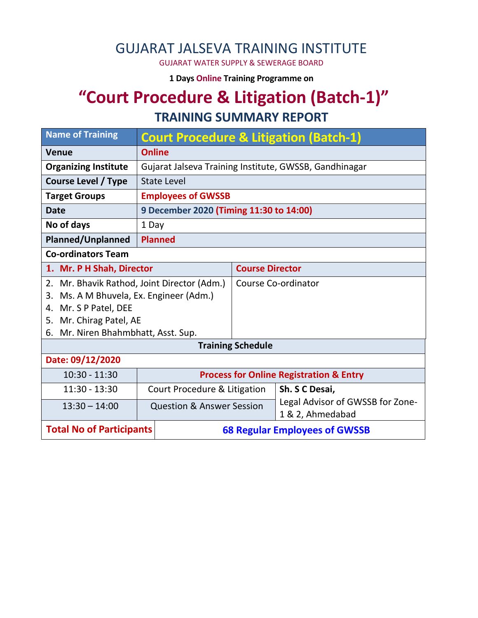### GUJARAT JALSEVA TRAINING INSTITUTE

GUJARAT WATER SUPPLY & SEWERAGE BOARD

**1 Days Online Training Programme on** 

# **"Court Procedure & Litigation (Batch-1)"**

#### **TRAINING SUMMARY REPORT**

| <b>Name of Training</b>                                                 | <b>Court Procedure &amp; Litigation (Batch-1)</b>      |                          |                                                      |  |
|-------------------------------------------------------------------------|--------------------------------------------------------|--------------------------|------------------------------------------------------|--|
| <b>Venue</b>                                                            | <b>Online</b>                                          |                          |                                                      |  |
| <b>Organizing Institute</b>                                             | Gujarat Jalseva Training Institute, GWSSB, Gandhinagar |                          |                                                      |  |
| <b>Course Level / Type</b>                                              | <b>State Level</b>                                     |                          |                                                      |  |
| <b>Target Groups</b>                                                    | <b>Employees of GWSSB</b>                              |                          |                                                      |  |
| <b>Date</b>                                                             | 9 December 2020 (Timing 11:30 to 14:00)                |                          |                                                      |  |
| No of days                                                              | 1 Day                                                  |                          |                                                      |  |
| <b>Planned/Unplanned</b>                                                | <b>Planned</b>                                         |                          |                                                      |  |
| <b>Co-ordinators Team</b>                                               |                                                        |                          |                                                      |  |
| 1. Mr. P H Shah, Director                                               |                                                        | <b>Course Director</b>   |                                                      |  |
| 2. Mr. Bhavik Rathod, Joint Director (Adm.)                             |                                                        | Course Co-ordinator      |                                                      |  |
| Ms. A M Bhuvela, Ex. Engineer (Adm.)<br>3.                              |                                                        |                          |                                                      |  |
| 4. Mr. S P Patel, DEE                                                   |                                                        |                          |                                                      |  |
| Mr. Chirag Patel, AE<br>5.                                              |                                                        |                          |                                                      |  |
| 6. Mr. Niren Bhahmbhatt, Asst. Sup.                                     |                                                        |                          |                                                      |  |
|                                                                         |                                                        | <b>Training Schedule</b> |                                                      |  |
| Date: 09/12/2020                                                        |                                                        |                          |                                                      |  |
| $10:30 - 11:30$                                                         | <b>Process for Online Registration &amp; Entry</b>     |                          |                                                      |  |
| 11:30 - 13:30                                                           | Court Procedure & Litigation                           |                          | Sh. S C Desai,                                       |  |
| $13:30 - 14:00$                                                         | <b>Question &amp; Answer Session</b>                   |                          | Legal Advisor of GWSSB for Zone-<br>1 & 2, Ahmedabad |  |
| <b>Total No of Participants</b><br><b>68 Regular Employees of GWSSB</b> |                                                        |                          |                                                      |  |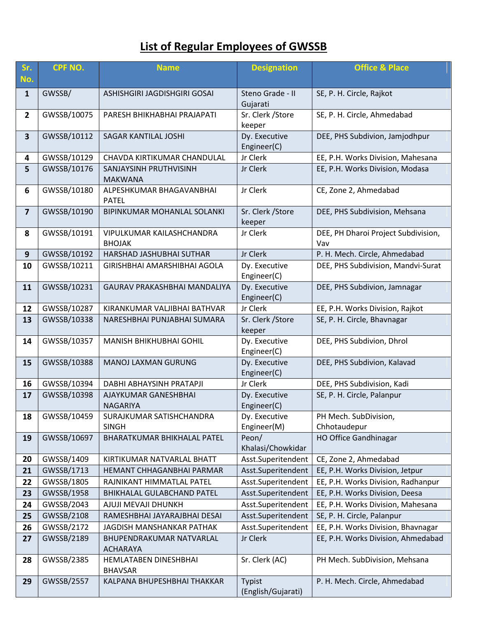## **List of Regular Employees of GWSSB**

| Sr.<br>No.              | <b>CPF NO.</b> | <b>Name</b>                                 | <b>Designation</b>           | <b>Office &amp; Place</b>                  |
|-------------------------|----------------|---------------------------------------------|------------------------------|--------------------------------------------|
| $\mathbf{1}$            | GWSSB/         | ASHISHGIRI JAGDISHGIRI GOSAI                | Steno Grade - II<br>Gujarati | SE, P. H. Circle, Rajkot                   |
| $\overline{2}$          | GWSSB/10075    | PARESH BHIKHABHAI PRAJAPATI                 | Sr. Clerk / Store<br>keeper  | SE, P. H. Circle, Ahmedabad                |
| $\overline{\mathbf{3}}$ | GWSSB/10112    | SAGAR KANTILAL JOSHI                        | Dy. Executive<br>Engineer(C) | DEE, PHS Subdivion, Jamjodhpur             |
| 4                       | GWSSB/10129    | CHAVDA KIRTIKUMAR CHANDULAL                 | Jr Clerk                     | EE, P.H. Works Division, Mahesana          |
| 5                       | GWSSB/10176    | SANJAYSINH PRUTHVISINH<br><b>MAKWANA</b>    | Jr Clerk                     | EE, P.H. Works Division, Modasa            |
| $6\phantom{1}$          | GWSSB/10180    | ALPESHKUMAR BHAGAVANBHAI<br><b>PATEL</b>    | Jr Clerk                     | CE, Zone 2, Ahmedabad                      |
| $\overline{\mathbf{z}}$ | GWSSB/10190    | BIPINKUMAR MOHANLAL SOLANKI                 | Sr. Clerk / Store<br>keeper  | DEE, PHS Subdivision, Mehsana              |
| 8                       | GWSSB/10191    | VIPULKUMAR KAILASHCHANDRA<br><b>BHOJAK</b>  | Jr Clerk                     | DEE, PH Dharoi Project Subdivision,<br>Vav |
| 9                       | GWSSB/10192    | HARSHAD JASHUBHAI SUTHAR                    | Jr Clerk                     | P. H. Mech. Circle, Ahmedabad              |
| 10                      | GWSSB/10211    | GIRISHBHAI AMARSHIBHAI AGOLA                | Dy. Executive<br>Engineer(C) | DEE, PHS Subdivision, Mandvi-Surat         |
| 11                      | GWSSB/10231    | GAURAV PRAKASHBHAI MANDALIYA                | Dy. Executive<br>Engineer(C) | DEE, PHS Subdivion, Jamnagar               |
| 12                      | GWSSB/10287    | KIRANKUMAR VALJIBHAI BATHVAR                | Jr Clerk                     | EE, P.H. Works Division, Rajkot            |
| 13                      | GWSSB/10338    | NARESHBHAI PUNJABHAI SUMARA                 | Sr. Clerk / Store<br>keeper  | SE, P. H. Circle, Bhavnagar                |
| 14                      | GWSSB/10357    | <b>MANISH BHIKHUBHAI GOHIL</b>              | Dy. Executive<br>Engineer(C) | DEE, PHS Subdivion, Dhrol                  |
| 15                      | GWSSB/10388    | MANOJ LAXMAN GURUNG                         | Dy. Executive<br>Engineer(C) | DEE, PHS Subdivion, Kalavad                |
| 16                      | GWSSB/10394    | DABHI ABHAYSINH PRATAPJI                    | Jr Clerk                     | DEE, PHS Subdivision, Kadi                 |
| 17                      | GWSSB/10398    | AJAYKUMAR GANESHBHAI<br>NAGARIYA            | Dy. Executive<br>Engineer(C) | SE, P. H. Circle, Palanpur                 |
| 18                      | GWSSB/10459    | SURAJKUMAR SATISHCHANDRA<br><b>SINGH</b>    | Dy. Executive<br>Engineer(M) | PH Mech. SubDivision,<br>Chhotaudepur      |
| 19                      | GWSSB/10697    | BHARATKUMAR BHIKHALAL PATEL                 | Peon/<br>Khalasi/Chowkidar   | <b>HO Office Gandhinagar</b>               |
| 20                      | GWSSB/1409     | KIRTIKUMAR NATVARLAL BHATT                  | Asst.Superitendent           | CE, Zone 2, Ahmedabad                      |
| 21                      | GWSSB/1713     | HEMANT CHHAGANBHAI PARMAR                   | Asst.Superitendent           | EE, P.H. Works Division, Jetpur            |
| 22                      | GWSSB/1805     | RAJNIKANT HIMMATLAL PATEL                   | Asst.Superitendent           | EE, P.H. Works Division, Radhanpur         |
| 23                      | GWSSB/1958     | BHIKHALAL GULABCHAND PATEL                  | Asst.Superitendent           | EE, P.H. Works Division, Deesa             |
| 24                      | GWSSB/2043     | AJUJI MEVAJI DHUNKH                         | Asst.Superitendent           | EE, P.H. Works Division, Mahesana          |
| 25                      | GWSSB/2108     | RAMESHBHAI JAYARAJBHAI DESAI                | Asst.Superitendent           | SE, P. H. Circle, Palanpur                 |
| 26                      | GWSSB/2172     | JAGDISH MANSHANKAR PATHAK                   | Asst.Superitendent           | EE, P.H. Works Division, Bhavnagar         |
| 27                      | GWSSB/2189     | BHUPENDRAKUMAR NATVARLAL<br><b>ACHARAYA</b> | Jr Clerk                     | EE, P.H. Works Division, Ahmedabad         |
| 28                      | GWSSB/2385     | HEMLATABEN DINESHBHAI<br><b>BHAVSAR</b>     | Sr. Clerk (AC)               | PH Mech. SubDivision, Mehsana              |
| 29                      | GWSSB/2557     | KALPANA BHUPESHBHAI THAKKAR                 | Typist<br>(English/Gujarati) | P. H. Mech. Circle, Ahmedabad              |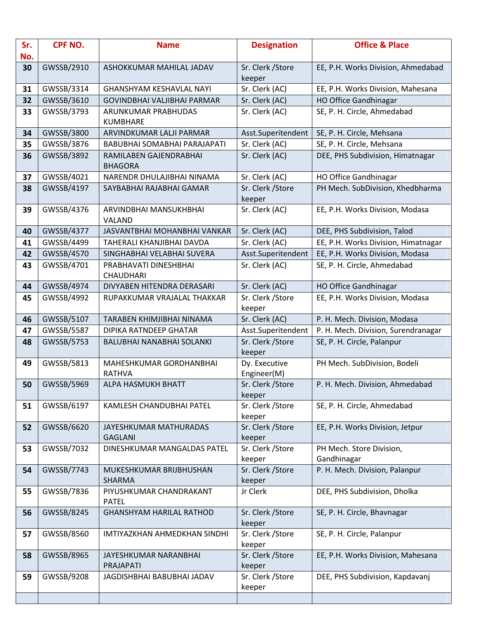| Sr.<br>No. | <b>CPF NO.</b> | <b>Name</b>                              | <b>Designation</b>          | <b>Office &amp; Place</b>           |
|------------|----------------|------------------------------------------|-----------------------------|-------------------------------------|
| 30         | GWSSB/2910     | ASHOKKUMAR MAHILAL JADAV                 | Sr. Clerk / Store           | EE, P.H. Works Division, Ahmedabad  |
|            |                |                                          | keeper                      |                                     |
| 31         | GWSSB/3314     | <b>GHANSHYAM KESHAVLAL NAYI</b>          | Sr. Clerk (AC)              | EE, P.H. Works Division, Mahesana   |
| 32         | GWSSB/3610     | GOVINDBHAI VALJIBHAI PARMAR              | Sr. Clerk (AC)              | <b>HO Office Gandhinagar</b>        |
| 33         | GWSSB/3793     | ARUNKUMAR PRABHUDAS<br><b>KUMBHARE</b>   | Sr. Clerk (AC)              | SE, P. H. Circle, Ahmedabad         |
| 34         | GWSSB/3800     | ARVINDKUMAR LALJI PARMAR                 | Asst.Superitendent          | SE, P. H. Circle, Mehsana           |
| 35         | GWSSB/3876     | BABUBHAI SOMABHAI PARAJAPATI             | Sr. Clerk (AC)              | SE, P. H. Circle, Mehsana           |
| 36         | GWSSB/3892     | RAMILABEN GAJENDRABHAI<br><b>BHAGORA</b> | Sr. Clerk (AC)              | DEE, PHS Subdivision, Himatnagar    |
| 37         | GWSSB/4021     | NARENDR DHULAJIBHAI NINAMA               | Sr. Clerk (AC)              | HO Office Gandhinagar               |
| 38         | GWSSB/4197     | SAYBABHAI RAJABHAI GAMAR                 | Sr. Clerk / Store<br>keeper | PH Mech. SubDivision, Khedbharma    |
| 39         | GWSSB/4376     | ARVINDBHAI MANSUKHBHAI<br>VALAND         | Sr. Clerk (AC)              | EE, P.H. Works Division, Modasa     |
| 40         | GWSSB/4377     | JASVANTBHAI MOHANBHAI VANKAR             | Sr. Clerk (AC)              | DEE, PHS Subdivision, Talod         |
| 41         | GWSSB/4499     | TAHERALI KHANJIBHAI DAVDA                | Sr. Clerk (AC)              | EE, P.H. Works Division, Himatnagar |
| 42         | GWSSB/4570     | SINGHABHAI VELABHAI SUVERA               | Asst.Superitendent          | EE, P.H. Works Division, Modasa     |
| 43         | GWSSB/4701     | PRABHAVATI DINESHBHAI                    | Sr. Clerk (AC)              | SE, P. H. Circle, Ahmedabad         |
|            |                | <b>CHAUDHARI</b>                         |                             |                                     |
| 44         | GWSSB/4974     | DIVYABEN HITENDRA DERASARI               | Sr. Clerk (AC)              | HO Office Gandhinagar               |
| 45         | GWSSB/4992     | RUPAKKUMAR VRAJALAL THAKKAR              | Sr. Clerk / Store<br>keeper | EE, P.H. Works Division, Modasa     |
| 46         | GWSSB/5107     | TARABEN KHIMJIBHAI NINAMA                | Sr. Clerk (AC)              | P. H. Mech. Division, Modasa        |
| 47         | GWSSB/5587     | DIPIKA RATNDEEP GHATAR                   | Asst.Superitendent          | P. H. Mech. Division, Surendranagar |
| 48         | GWSSB/5753     | <b>BALUBHAI NANABHAI SOLANKI</b>         | Sr. Clerk / Store           | SE, P. H. Circle, Palanpur          |
|            |                |                                          | keeper                      |                                     |
| 49         | GWSSB/5813     | MAHESHKUMAR GORDHANBHAI                  | Dy. Executive               | PH Mech. SubDivision, Bodeli        |
|            |                | <b>RATHVA</b>                            | Engineer(M)                 |                                     |
| 50         | GWSSB/5969     | ALPA HASMUKH BHATT                       | Sr. Clerk / Store<br>keeper | P. H. Mech. Division, Ahmedabad     |
| 51         | GWSSB/6197     | KAMLESH CHANDUBHAI PATEL                 | Sr. Clerk / Store<br>keeper | SE, P. H. Circle, Ahmedabad         |
| 52         | GWSSB/6620     | JAYESHKUMAR MATHURADAS                   | Sr. Clerk / Store           | EE, P.H. Works Division, Jetpur     |
|            |                | <b>GAGLANI</b>                           | keeper                      |                                     |
| 53         | GWSSB/7032     | DINESHKUMAR MANGALDAS PATEL              | Sr. Clerk / Store           | PH Mech. Store Division,            |
|            |                |                                          | keeper                      | Gandhinagar                         |
| 54         | GWSSB/7743     | MUKESHKUMAR BRIJBHUSHAN<br><b>SHARMA</b> | Sr. Clerk / Store<br>keeper | P. H. Mech. Division, Palanpur      |
| 55         | GWSSB/7836     | PIYUSHKUMAR CHANDRAKANT<br><b>PATEL</b>  | Jr Clerk                    | DEE, PHS Subdivision, Dholka        |
| 56         | GWSSB/8245     | <b>GHANSHYAM HARILAL RATHOD</b>          | Sr. Clerk / Store<br>keeper | SE, P. H. Circle, Bhavnagar         |
| 57         | GWSSB/8560     | IMTIYAZKHAN AHMEDKHAN SINDHI             | Sr. Clerk / Store           | SE, P. H. Circle, Palanpur          |
|            |                |                                          | keeper                      |                                     |
| 58         | GWSSB/8965     | JAYESHKUMAR NARANBHAI                    | Sr. Clerk / Store           | EE, P.H. Works Division, Mahesana   |
|            |                | PRAJAPATI                                | keeper                      |                                     |
| 59         | GWSSB/9208     | JAGDISHBHAI BABUBHAI JADAV               | Sr. Clerk / Store           | DEE, PHS Subdivision, Kapdavanj     |
|            |                |                                          | keeper                      |                                     |